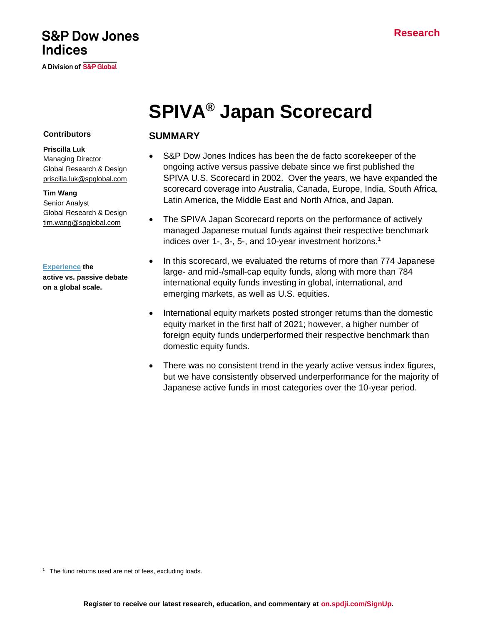# **Research**

# **S&P Dow Jones Indices**

A Division of S&P Global

# **SPIVA® Japan Scorecard**

## **Contributors**

### **Priscilla Luk**

Managing Director Global Research & Design [priscilla.luk@spglobal.com](mailto:priscilla.luk@spglobal.com)

#### **Tim Wang**

Senior Analyst Global Research & Design [tim.wang@spglobal.com](mailto:arpit.gupta1@spglobal.com)

#### **[Experience](https://www.spglobal.com/spdji/en/research-insights/spiva/?utm_source=pdf_spiva) the**

**active vs. passive debate on a global scale.**

# **SUMMARY**

- S&P Dow Jones Indices has been the de facto scorekeeper of the ongoing active versus passive debate since we first published the SPIVA U.S. Scorecard in 2002. Over the years, we have expanded the scorecard coverage into Australia, Canada, Europe, India, South Africa, Latin America, the Middle East and North Africa, and Japan.
- The SPIVA Japan Scorecard reports on the performance of actively managed Japanese mutual funds against their respective benchmark indices over 1-, 3-, 5-, and 10-year investment horizons. 1
- In this scorecard, we evaluated the returns of more than 774 Japanese large- and mid-/small-cap equity funds, along with more than 784 international equity funds investing in global, international, and emerging markets, as well as U.S. equities.
- International equity markets posted stronger returns than the domestic equity market in the first half of 2021; however, a higher number of foreign equity funds underperformed their respective benchmark than domestic equity funds.
- There was no consistent trend in the yearly active versus index figures, but we have consistently observed underperformance for the majority of Japanese active funds in most categories over the 10-year period.

<sup>1</sup> The fund returns used are net of fees, excluding loads.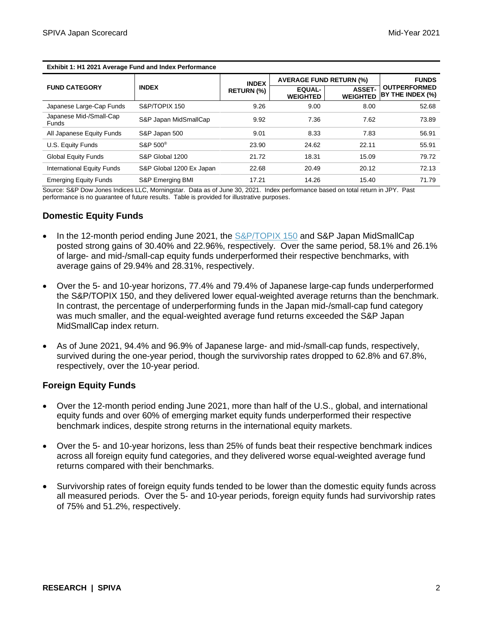|                                         |                          | <b>INDEX</b>      | <b>AVERAGE FUND RETURN (%)</b>   |                                  | <b>FUNDS</b>                            |
|-----------------------------------------|--------------------------|-------------------|----------------------------------|----------------------------------|-----------------------------------------|
| <b>FUND CATEGORY</b>                    | <b>INDEX</b>             | <b>RETURN (%)</b> | <b>EQUAL-</b><br><b>WEIGHTED</b> | <b>ASSET-</b><br><b>WEIGHTED</b> | <b>OUTPERFORMED</b><br>BY THE INDEX (%) |
| Japanese Large-Cap Funds                | S&P/TOPIX 150            | 9.26              | 9.00                             | 8.00                             | 52.68                                   |
| Japanese Mid-/Small-Cap<br><b>Funds</b> | S&P Japan MidSmallCap    | 9.92              | 7.36                             | 7.62                             | 73.89                                   |
| All Japanese Equity Funds               | S&P Japan 500            | 9.01              | 8.33                             | 7.83                             | 56.91                                   |
| U.S. Equity Funds                       | S&P 500 <sup>®</sup>     | 23.90             | 24.62                            | 22.11                            | 55.91                                   |
| <b>Global Equity Funds</b>              | S&P Global 1200          | 21.72             | 18.31                            | 15.09                            | 79.72                                   |
| <b>International Equity Funds</b>       | S&P Global 1200 Ex Japan | 22.68             | 20.49                            | 20.12                            | 72.13                                   |
| <b>Emerging Equity Funds</b>            | S&P Emerging BMI         | 17.21             | 14.26                            | 15.40                            | 71.79                                   |

**Exhibit 1: H1 2021 Average Fund and Index Performance**

Source: S&P Dow Jones Indices LLC, Morningstar. Data as of June 30, 2021. Index performance based on total return in JPY. Past performance is no guarantee of future results. Table is provided for illustrative purposes.

## **Domestic Equity Funds**

- In the 12-month period ending June 2021, the [S&P/TOPIX 150](https://www.spglobal.com/spdji/en/indices/equity/sp-topix-150/?utm_source=pdf_spiva) and S&P Japan MidSmallCap posted strong gains of 30.40% and 22.96%, respectively. Over the same period, 58.1% and 26.1% of large- and mid-/small-cap equity funds underperformed their respective benchmarks, with average gains of 29.94% and 28.31%, respectively.
- Over the 5- and 10-year horizons, 77.4% and 79.4% of Japanese large-cap funds underperformed the S&P/TOPIX 150, and they delivered lower equal-weighted average returns than the benchmark. In contrast, the percentage of underperforming funds in the Japan mid-/small-cap fund category was much smaller, and the equal-weighted average fund returns exceeded the S&P Japan MidSmallCap index return.
- As of June 2021, 94.4% and 96.9% of Japanese large- and mid-/small-cap funds, respectively, survived during the one-year period, though the survivorship rates dropped to 62.8% and 67.8%, respectively, over the 10-year period.

# **Foreign Equity Funds**

- Over the 12-month period ending June 2021, more than half of the U.S., global, and international equity funds and over 60% of emerging market equity funds underperformed their respective benchmark indices, despite strong returns in the international equity markets.
- Over the 5- and 10-year horizons, less than 25% of funds beat their respective benchmark indices across all foreign equity fund categories, and they delivered worse equal-weighted average fund returns compared with their benchmarks.
- Survivorship rates of foreign equity funds tended to be lower than the domestic equity funds across all measured periods. Over the 5- and 10-year periods, foreign equity funds had survivorship rates of 75% and 51.2%, respectively.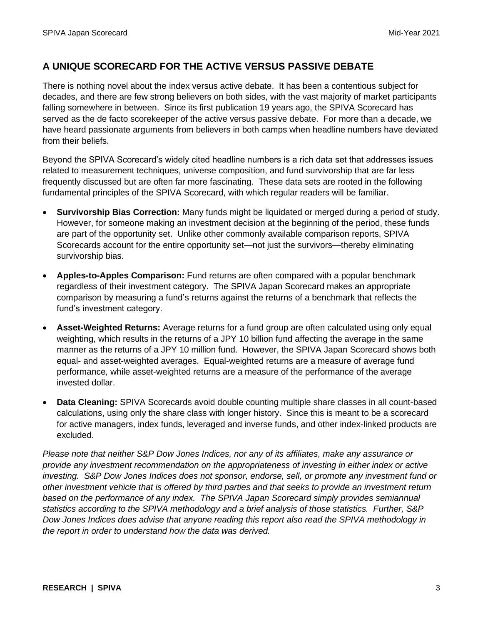# **A UNIQUE SCORECARD FOR THE ACTIVE VERSUS PASSIVE DEBATE**

There is nothing novel about the index versus active debate. It has been a contentious subject for decades, and there are few strong believers on both sides, with the vast majority of market participants falling somewhere in between. Since its first publication 19 years ago, the SPIVA Scorecard has served as the de facto scorekeeper of the active versus passive debate. For more than a decade, we have heard passionate arguments from believers in both camps when headline numbers have deviated from their beliefs.

Beyond the SPIVA Scorecard's widely cited headline numbers is a rich data set that addresses issues related to measurement techniques, universe composition, and fund survivorship that are far less frequently discussed but are often far more fascinating. These data sets are rooted in the following fundamental principles of the SPIVA Scorecard, with which regular readers will be familiar.

- **Survivorship Bias Correction:** Many funds might be liquidated or merged during a period of study. However, for someone making an investment decision at the beginning of the period, these funds are part of the opportunity set. Unlike other commonly available comparison reports, SPIVA Scorecards account for the entire opportunity set—not just the survivors—thereby eliminating survivorship bias.
- **Apples-to-Apples Comparison:** Fund returns are often compared with a popular benchmark regardless of their investment category. The SPIVA Japan Scorecard makes an appropriate comparison by measuring a fund's returns against the returns of a benchmark that reflects the fund's investment category.
- **Asset-Weighted Returns:** Average returns for a fund group are often calculated using only equal weighting, which results in the returns of a JPY 10 billion fund affecting the average in the same manner as the returns of a JPY 10 million fund. However, the SPIVA Japan Scorecard shows both equal- and asset-weighted averages. Equal-weighted returns are a measure of average fund performance, while asset-weighted returns are a measure of the performance of the average invested dollar.
- **Data Cleaning:** SPIVA Scorecards avoid double counting multiple share classes in all count-based calculations, using only the share class with longer history. Since this is meant to be a scorecard for active managers, index funds, leveraged and inverse funds, and other index-linked products are excluded.

*Please note that neither S&P Dow Jones Indices, nor any of its affiliates, make any assurance or provide any investment recommendation on the appropriateness of investing in either index or active investing. S&P Dow Jones Indices does not sponsor, endorse, sell, or promote any investment fund or other investment vehicle that is offered by third parties and that seeks to provide an investment return*  based on the performance of any index. The SPIVA Japan Scorecard simply provides semiannual *statistics according to the SPIVA methodology and a brief analysis of those statistics. Further, S&P Dow Jones Indices does advise that anyone reading this report also read the SPIVA methodology in the report in order to understand how the data was derived.*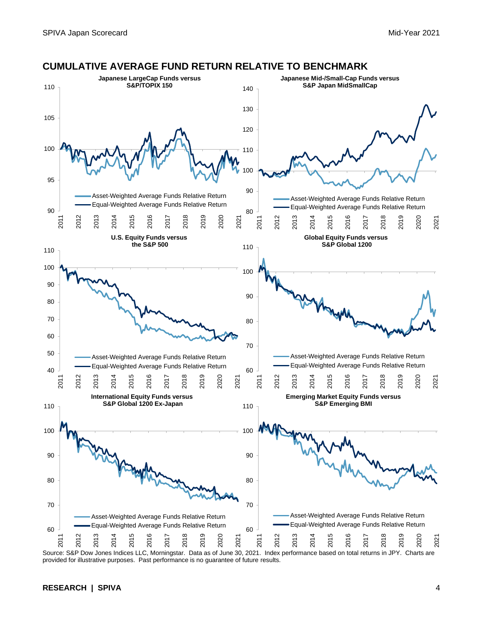

#### **CUMULATIVE AVERAGE FUND RETURN RELATIVE TO BENCHMARK**

**RESEARCH | SPIVA** 4

provided for illustrative purposes. Past performance is no guarantee of future results.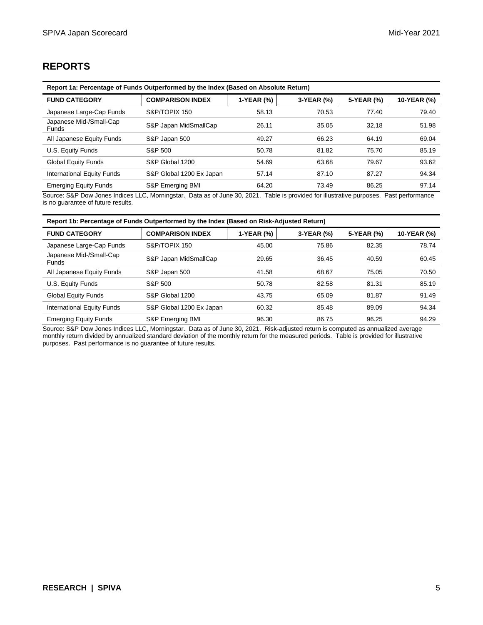# **REPORTS**

| Report 1a: Percentage of Funds Outperformed by the Index (Based on Absolute Return) |                          |            |            |            |             |
|-------------------------------------------------------------------------------------|--------------------------|------------|------------|------------|-------------|
| <b>FUND CATEGORY</b>                                                                | <b>COMPARISON INDEX</b>  | 1-YEAR (%) | 3-YEAR (%) | 5-YEAR (%) | 10-YEAR (%) |
| Japanese Large-Cap Funds                                                            | S&P/TOPIX 150            | 58.13      | 70.53      | 77.40      | 79.40       |
| Japanese Mid-/Small-Cap<br><b>Funds</b>                                             | S&P Japan MidSmallCap    | 26.11      | 35.05      | 32.18      | 51.98       |
| All Japanese Equity Funds                                                           | S&P Japan 500            | 49.27      | 66.23      | 64.19      | 69.04       |
| U.S. Equity Funds                                                                   | S&P 500                  | 50.78      | 81.82      | 75.70      | 85.19       |
| <b>Global Equity Funds</b>                                                          | S&P Global 1200          | 54.69      | 63.68      | 79.67      | 93.62       |
| <b>International Equity Funds</b>                                                   | S&P Global 1200 Ex Japan | 57.14      | 87.10      | 87.27      | 94.34       |
| <b>Emerging Equity Funds</b>                                                        | S&P Emerging BMI         | 64.20      | 73.49      | 86.25      | 97.14       |

Source: S&P Dow Jones Indices LLC, Morningstar. Data as of June 30, 2021. Table is provided for illustrative purposes. Past performance is no guarantee of future results.

| Report 1b: Percentage of Funds Outperformed by the Index (Based on Risk-Adjusted Return) |                             |            |            |            |             |
|------------------------------------------------------------------------------------------|-----------------------------|------------|------------|------------|-------------|
| <b>FUND CATEGORY</b>                                                                     | <b>COMPARISON INDEX</b>     | 1-YEAR (%) | 3-YEAR (%) | 5-YEAR (%) | 10-YEAR (%) |
| Japanese Large-Cap Funds                                                                 | S&P/TOPIX 150               | 45.00      | 75.86      | 82.35      | 78.74       |
| Japanese Mid-/Small-Cap<br>Funds                                                         | S&P Japan MidSmallCap       | 29.65      | 36.45      | 40.59      | 60.45       |
| All Japanese Equity Funds                                                                | S&P Japan 500               | 41.58      | 68.67      | 75.05      | 70.50       |
| U.S. Equity Funds                                                                        | S&P 500                     | 50.78      | 82.58      | 81.31      | 85.19       |
| <b>Global Equity Funds</b>                                                               | S&P Global 1200             | 43.75      | 65.09      | 81.87      | 91.49       |
| International Equity Funds                                                               | S&P Global 1200 Ex Japan    | 60.32      | 85.48      | 89.09      | 94.34       |
| <b>Emerging Equity Funds</b>                                                             | <b>S&amp;P Emerging BMI</b> | 96.30      | 86.75      | 96.25      | 94.29       |

Source: S&P Dow Jones Indices LLC, Morningstar. Data as of June 30, 2021. Risk-adjusted return is computed as annualized average monthly return divided by annualized standard deviation of the monthly return for the measured periods. Table is provided for illustrative purposes. Past performance is no guarantee of future results.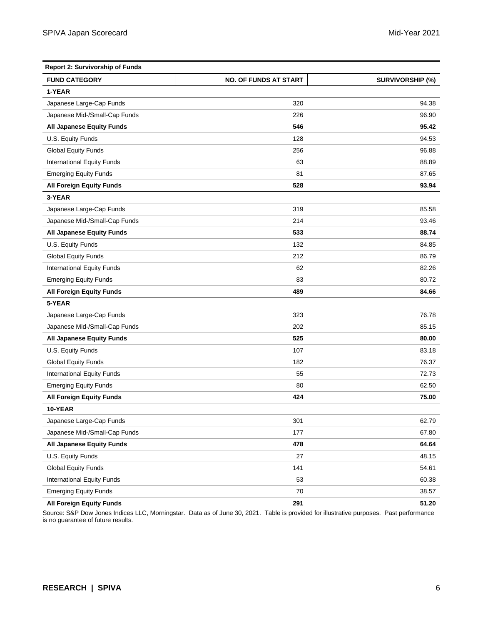| <b>Report 2: Survivorship of Funds</b> |                              |                         |  |
|----------------------------------------|------------------------------|-------------------------|--|
| <b>FUND CATEGORY</b>                   | <b>NO. OF FUNDS AT START</b> | <b>SURVIVORSHIP (%)</b> |  |
| 1-YEAR                                 |                              |                         |  |
| Japanese Large-Cap Funds               | 320                          | 94.38                   |  |
| Japanese Mid-/Small-Cap Funds          | 226                          | 96.90                   |  |
| All Japanese Equity Funds              | 546                          | 95.42                   |  |
| U.S. Equity Funds                      | 128                          | 94.53                   |  |
| <b>Global Equity Funds</b>             | 256                          | 96.88                   |  |
| International Equity Funds             | 63                           | 88.89                   |  |
| <b>Emerging Equity Funds</b>           | 81                           | 87.65                   |  |
| <b>All Foreign Equity Funds</b>        | 528                          | 93.94                   |  |
| 3-YEAR                                 |                              |                         |  |
| Japanese Large-Cap Funds               | 319                          | 85.58                   |  |
| Japanese Mid-/Small-Cap Funds          | 214                          | 93.46                   |  |
| <b>All Japanese Equity Funds</b>       | 533                          | 88.74                   |  |
| U.S. Equity Funds                      | 132                          | 84.85                   |  |
| <b>Global Equity Funds</b>             | 212                          | 86.79                   |  |
| <b>International Equity Funds</b>      | 62                           | 82.26                   |  |
| <b>Emerging Equity Funds</b>           | 83                           | 80.72                   |  |
| <b>All Foreign Equity Funds</b>        | 489                          | 84.66                   |  |
| 5-YEAR                                 |                              |                         |  |
| Japanese Large-Cap Funds               | 323                          | 76.78                   |  |
| Japanese Mid-/Small-Cap Funds          | 202                          | 85.15                   |  |
| All Japanese Equity Funds              | 525                          | 80.00                   |  |
| U.S. Equity Funds                      | 107                          | 83.18                   |  |
| <b>Global Equity Funds</b>             | 182                          | 76.37                   |  |
| International Equity Funds             | 55                           | 72.73                   |  |
| <b>Emerging Equity Funds</b>           | 80                           | 62.50                   |  |
| <b>All Foreign Equity Funds</b>        | 424                          | 75.00                   |  |
| 10-YEAR                                |                              |                         |  |
| Japanese Large-Cap Funds               | 301                          | 62.79                   |  |
| Japanese Mid-/Small-Cap Funds          | 177                          | 67.80                   |  |
| <b>All Japanese Equity Funds</b>       | 478                          | 64.64                   |  |
| U.S. Equity Funds                      | 27                           | 48.15                   |  |
| <b>Global Equity Funds</b>             | 141                          | 54.61                   |  |
| International Equity Funds             | 53                           | 60.38                   |  |
| <b>Emerging Equity Funds</b>           | 70                           | 38.57                   |  |
| <b>All Foreign Equity Funds</b>        | 291                          | 51.20                   |  |

Source: S&P Dow Jones Indices LLC, Morningstar. Data as of June 30, 2021. Table is provided for illustrative purposes. Past performance is no guarantee of future results.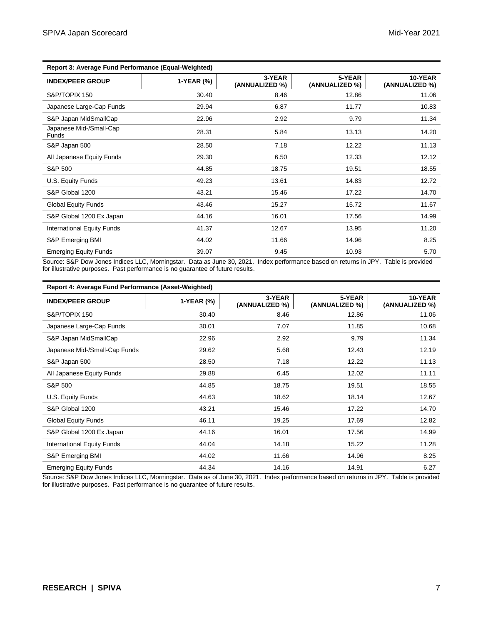| Report 3: Average Fund Performance (Equal-Weighted) |            |                          |                          |                           |
|-----------------------------------------------------|------------|--------------------------|--------------------------|---------------------------|
| <b>INDEX/PEER GROUP</b>                             | 1-YEAR (%) | 3-YEAR<br>(ANNUALIZED %) | 5-YEAR<br>(ANNUALIZED %) | 10-YEAR<br>(ANNUALIZED %) |
| S&P/TOPIX 150                                       | 30.40      | 8.46                     | 12.86                    | 11.06                     |
| Japanese Large-Cap Funds                            | 29.94      | 6.87                     | 11.77                    | 10.83                     |
| S&P Japan MidSmallCap                               | 22.96      | 2.92                     | 9.79                     | 11.34                     |
| Japanese Mid-/Small-Cap<br><b>Funds</b>             | 28.31      | 5.84                     | 13.13                    | 14.20                     |
| S&P Japan 500                                       | 28.50      | 7.18                     | 12.22                    | 11.13                     |
| All Japanese Equity Funds                           | 29.30      | 6.50                     | 12.33                    | 12.12                     |
| S&P 500                                             | 44.85      | 18.75                    | 19.51                    | 18.55                     |
| U.S. Equity Funds                                   | 49.23      | 13.61                    | 14.83                    | 12.72                     |
| S&P Global 1200                                     | 43.21      | 15.46                    | 17.22                    | 14.70                     |
| <b>Global Equity Funds</b>                          | 43.46      | 15.27                    | 15.72                    | 11.67                     |
| S&P Global 1200 Ex Japan                            | 44.16      | 16.01                    | 17.56                    | 14.99                     |
| International Equity Funds                          | 41.37      | 12.67                    | 13.95                    | 11.20                     |
| S&P Emerging BMI                                    | 44.02      | 11.66                    | 14.96                    | 8.25                      |
| <b>Emerging Equity Funds</b>                        | 39.07      | 9.45                     | 10.93                    | 5.70                      |
|                                                     |            |                          |                          |                           |

Source: S&P Dow Jones Indices LLC, Morningstar. Data as June 30, 2021. Index performance based on returns in JPY. Table is provided for illustrative purposes. Past performance is no guarantee of future results.

| Report 4: Average Fund Performance (Asset-Weighted) |            |                          |                          |                           |
|-----------------------------------------------------|------------|--------------------------|--------------------------|---------------------------|
| <b>INDEX/PEER GROUP</b>                             | 1-YEAR (%) | 3-YEAR<br>(ANNUALIZED %) | 5-YEAR<br>(ANNUALIZED %) | 10-YEAR<br>(ANNUALIZED %) |
| S&P/TOPIX 150                                       | 30.40      | 8.46                     | 12.86                    | 11.06                     |
| Japanese Large-Cap Funds                            | 30.01      | 7.07                     | 11.85                    | 10.68                     |
| S&P Japan MidSmallCap                               | 22.96      | 2.92                     | 9.79                     | 11.34                     |
| Japanese Mid-/Small-Cap Funds                       | 29.62      | 5.68                     | 12.43                    | 12.19                     |
| S&P Japan 500                                       | 28.50      | 7.18                     | 12.22                    | 11.13                     |
| All Japanese Equity Funds                           | 29.88      | 6.45                     | 12.02                    | 11.11                     |
| S&P 500                                             | 44.85      | 18.75                    | 19.51                    | 18.55                     |
| U.S. Equity Funds                                   | 44.63      | 18.62                    | 18.14                    | 12.67                     |
| S&P Global 1200                                     | 43.21      | 15.46                    | 17.22                    | 14.70                     |
| <b>Global Equity Funds</b>                          | 46.11      | 19.25                    | 17.69                    | 12.82                     |
| S&P Global 1200 Ex Japan                            | 44.16      | 16.01                    | 17.56                    | 14.99                     |
| International Equity Funds                          | 44.04      | 14.18                    | 15.22                    | 11.28                     |
| S&P Emerging BMI                                    | 44.02      | 11.66                    | 14.96                    | 8.25                      |
| <b>Emerging Equity Funds</b>                        | 44.34      | 14.16                    | 14.91                    | 6.27                      |

Source: S&P Dow Jones Indices LLC, Morningstar. Data as of June 30, 2021. Index performance based on returns in JPY. Table is provided for illustrative purposes. Past performance is no guarantee of future results.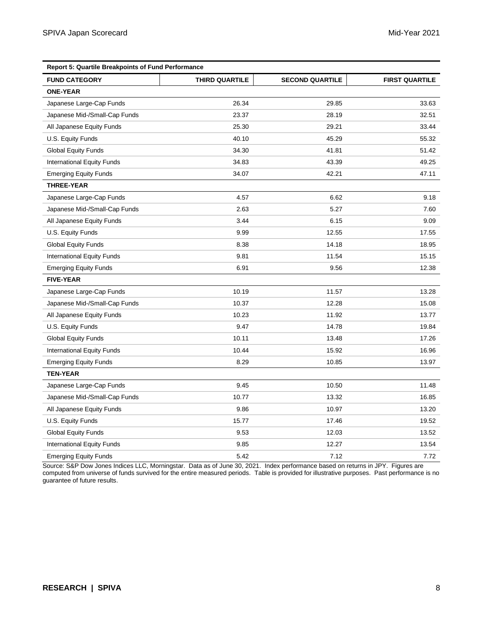| <b>Report 5: Quartile Breakpoints of Fund Performance</b> |                       |                        |                       |  |
|-----------------------------------------------------------|-----------------------|------------------------|-----------------------|--|
| <b>FUND CATEGORY</b>                                      | <b>THIRD QUARTILE</b> | <b>SECOND QUARTILE</b> | <b>FIRST QUARTILE</b> |  |
| <b>ONE-YEAR</b>                                           |                       |                        |                       |  |
| Japanese Large-Cap Funds                                  | 26.34                 | 29.85                  | 33.63                 |  |
| Japanese Mid-/Small-Cap Funds                             | 23.37                 | 28.19                  | 32.51                 |  |
| All Japanese Equity Funds                                 | 25.30                 | 29.21                  | 33.44                 |  |
| U.S. Equity Funds                                         | 40.10                 | 45.29                  | 55.32                 |  |
| <b>Global Equity Funds</b>                                | 34.30                 | 41.81                  | 51.42                 |  |
| International Equity Funds                                | 34.83                 | 43.39                  | 49.25                 |  |
| <b>Emerging Equity Funds</b>                              | 34.07                 | 42.21                  | 47.11                 |  |
| <b>THREE-YEAR</b>                                         |                       |                        |                       |  |
| Japanese Large-Cap Funds                                  | 4.57                  | 6.62                   | 9.18                  |  |
| Japanese Mid-/Small-Cap Funds                             | 2.63                  | 5.27                   | 7.60                  |  |
| All Japanese Equity Funds                                 | 3.44                  | 6.15                   | 9.09                  |  |
| U.S. Equity Funds                                         | 9.99                  | 12.55                  | 17.55                 |  |
| <b>Global Equity Funds</b>                                | 8.38                  | 14.18                  | 18.95                 |  |
| <b>International Equity Funds</b>                         | 9.81                  | 11.54                  | 15.15                 |  |
| <b>Emerging Equity Funds</b>                              | 6.91                  | 9.56                   | 12.38                 |  |
| <b>FIVE-YEAR</b>                                          |                       |                        |                       |  |
| Japanese Large-Cap Funds                                  | 10.19                 | 11.57                  | 13.28                 |  |
| Japanese Mid-/Small-Cap Funds                             | 10.37                 | 12.28                  | 15.08                 |  |
| All Japanese Equity Funds                                 | 10.23                 | 11.92                  | 13.77                 |  |
| U.S. Equity Funds                                         | 9.47                  | 14.78                  | 19.84                 |  |
| <b>Global Equity Funds</b>                                | 10.11                 | 13.48                  | 17.26                 |  |
| International Equity Funds                                | 10.44                 | 15.92                  | 16.96                 |  |
| <b>Emerging Equity Funds</b>                              | 8.29                  | 10.85                  | 13.97                 |  |
| <b>TEN-YEAR</b>                                           |                       |                        |                       |  |
| Japanese Large-Cap Funds                                  | 9.45                  | 10.50                  | 11.48                 |  |
| Japanese Mid-/Small-Cap Funds                             | 10.77                 | 13.32                  | 16.85                 |  |
| All Japanese Equity Funds                                 | 9.86                  | 10.97                  | 13.20                 |  |
| U.S. Equity Funds                                         | 15.77                 | 17.46                  | 19.52                 |  |
| <b>Global Equity Funds</b>                                | 9.53                  | 12.03                  | 13.52                 |  |
| International Equity Funds                                | 9.85                  | 12.27                  | 13.54                 |  |
| <b>Emerging Equity Funds</b>                              | 5.42                  | 7.12                   | 7.72                  |  |

Source: S&P Dow Jones Indices LLC, Morningstar. Data as of June 30, 2021. Index performance based on returns in JPY. Figures are computed from universe of funds survived for the entire measured periods. Table is provided for illustrative purposes. Past performance is no guarantee of future results.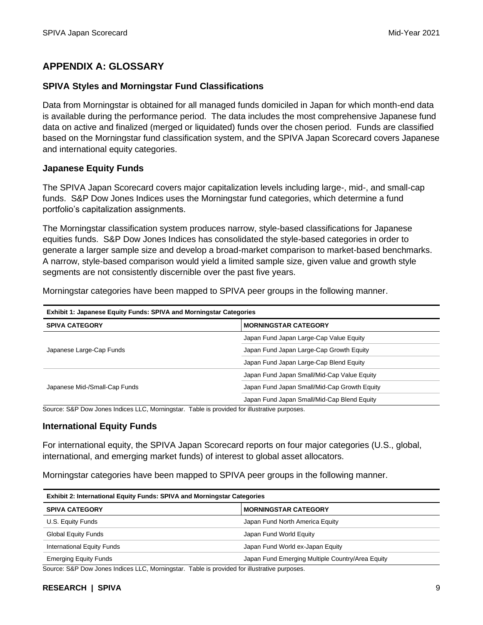# **APPENDIX A: GLOSSARY**

# **SPIVA Styles and Morningstar Fund Classifications**

Data from Morningstar is obtained for all managed funds domiciled in Japan for which month-end data is available during the performance period. The data includes the most comprehensive Japanese fund data on active and finalized (merged or liquidated) funds over the chosen period. Funds are classified based on the Morningstar fund classification system, and the SPIVA Japan Scorecard covers Japanese and international equity categories.

### **Japanese Equity Funds**

The SPIVA Japan Scorecard covers major capitalization levels including large-, mid-, and small-cap funds. S&P Dow Jones Indices uses the Morningstar fund categories, which determine a fund portfolio's capitalization assignments.

The Morningstar classification system produces narrow, style-based classifications for Japanese equities funds. S&P Dow Jones Indices has consolidated the style-based categories in order to generate a larger sample size and develop a broad-market comparison to market-based benchmarks. A narrow, style-based comparison would yield a limited sample size, given value and growth style segments are not consistently discernible over the past five years.

Morningstar categories have been mapped to SPIVA peer groups in the following manner.

| <b>Exhibit 1: Japanese Equity Funds: SPIVA and Morningstar Categories</b> |                                              |  |
|---------------------------------------------------------------------------|----------------------------------------------|--|
| <b>SPIVA CATEGORY</b>                                                     | <b>MORNINGSTAR CATEGORY</b>                  |  |
|                                                                           | Japan Fund Japan Large-Cap Value Equity      |  |
| Japanese Large-Cap Funds                                                  | Japan Fund Japan Large-Cap Growth Equity     |  |
|                                                                           | Japan Fund Japan Large-Cap Blend Equity      |  |
|                                                                           | Japan Fund Japan Small/Mid-Cap Value Equity  |  |
| Japanese Mid-/Small-Cap Funds                                             | Japan Fund Japan Small/Mid-Cap Growth Equity |  |
|                                                                           | Japan Fund Japan Small/Mid-Cap Blend Equity  |  |

Source: S&P Dow Jones Indices LLC, Morningstar. Table is provided for illustrative purposes.

### **International Equity Funds**

For international equity, the SPIVA Japan Scorecard reports on four major categories (U.S., global, international, and emerging market funds) of interest to global asset allocators.

Morningstar categories have been mapped to SPIVA peer groups in the following manner.

| <b>Exhibit 2: International Equity Funds: SPIVA and Morningstar Categories</b> |                                                  |  |
|--------------------------------------------------------------------------------|--------------------------------------------------|--|
| <b>SPIVA CATEGORY</b>                                                          | <b>MORNINGSTAR CATEGORY</b>                      |  |
| U.S. Equity Funds                                                              | Japan Fund North America Equity                  |  |
| <b>Global Equity Funds</b>                                                     | Japan Fund World Equity                          |  |
| International Equity Funds                                                     | Japan Fund World ex-Japan Equity                 |  |
| <b>Emerging Equity Funds</b>                                                   | Japan Fund Emerging Multiple Country/Area Equity |  |

Source: S&P Dow Jones Indices LLC, Morningstar. Table is provided for illustrative purposes.

#### **RESEARCH | SPIVA** 9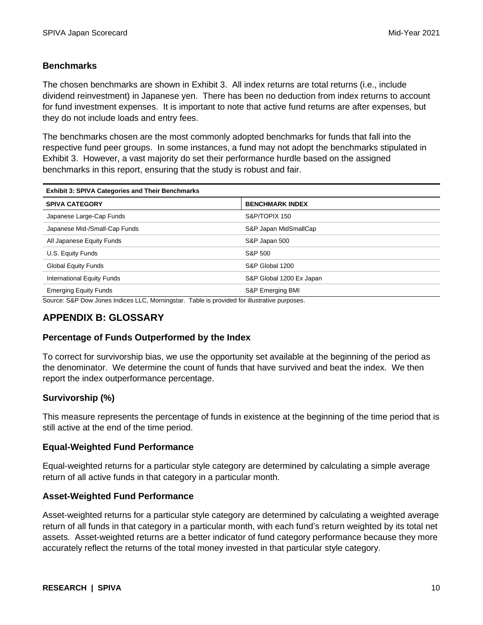# **Benchmarks**

The chosen benchmarks are shown in Exhibit 3. All index returns are total returns (i.e., include dividend reinvestment) in Japanese yen. There has been no deduction from index returns to account for fund investment expenses. It is important to note that active fund returns are after expenses, but they do not include loads and entry fees.

The benchmarks chosen are the most commonly adopted benchmarks for funds that fall into the respective fund peer groups. In some instances, a fund may not adopt the benchmarks stipulated in Exhibit 3. However, a vast majority do set their performance hurdle based on the assigned benchmarks in this report, ensuring that the study is robust and fair.

| <b>Exhibit 3: SPIVA Categories and Their Benchmarks</b> |                          |  |
|---------------------------------------------------------|--------------------------|--|
| <b>SPIVA CATEGORY</b>                                   | <b>BENCHMARK INDEX</b>   |  |
| Japanese Large-Cap Funds                                | S&P/TOPIX 150            |  |
| Japanese Mid-/Small-Cap Funds                           | S&P Japan MidSmallCap    |  |
| All Japanese Equity Funds                               | S&P Japan 500            |  |
| U.S. Equity Funds                                       | S&P 500                  |  |
| <b>Global Equity Funds</b>                              | S&P Global 1200          |  |
| International Equity Funds                              | S&P Global 1200 Ex Japan |  |
| <b>Emerging Equity Funds</b><br>_                       | S&P Emerging BMI         |  |

Source: S&P Dow Jones Indices LLC, Morningstar. Table is provided for illustrative purposes.

# **APPENDIX B: GLOSSARY**

# **Percentage of Funds Outperformed by the Index**

To correct for survivorship bias, we use the opportunity set available at the beginning of the period as the denominator. We determine the count of funds that have survived and beat the index. We then report the index outperformance percentage.

# **Survivorship (%)**

This measure represents the percentage of funds in existence at the beginning of the time period that is still active at the end of the time period.

# **Equal-Weighted Fund Performance**

Equal-weighted returns for a particular style category are determined by calculating a simple average return of all active funds in that category in a particular month.

# **Asset-Weighted Fund Performance**

Asset-weighted returns for a particular style category are determined by calculating a weighted average return of all funds in that category in a particular month, with each fund's return weighted by its total net assets. Asset-weighted returns are a better indicator of fund category performance because they more accurately reflect the returns of the total money invested in that particular style category.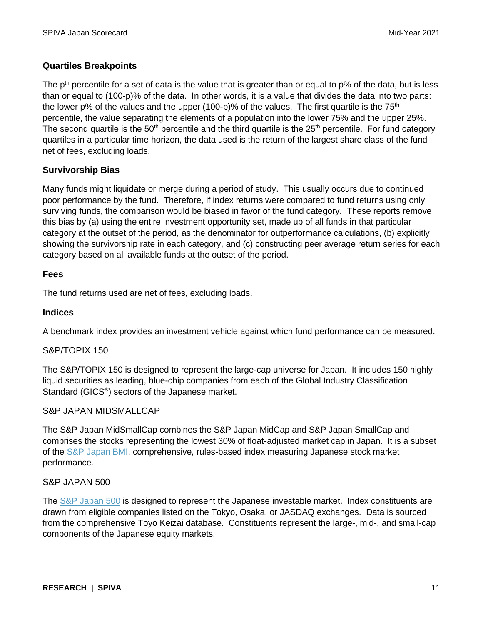# **Quartiles Breakpoints**

The  $p<sup>th</sup>$  percentile for a set of data is the value that is greater than or equal to  $p\%$  of the data, but is less than or equal to (100-p)% of the data. In other words, it is a value that divides the data into two parts: the lower p% of the values and the upper (100-p)% of the values. The first quartile is the  $75<sup>th</sup>$ percentile, the value separating the elements of a population into the lower 75% and the upper 25%. The second quartile is the  $50<sup>th</sup>$  percentile and the third quartile is the  $25<sup>th</sup>$  percentile. For fund category quartiles in a particular time horizon, the data used is the return of the largest share class of the fund net of fees, excluding loads.

# **Survivorship Bias**

Many funds might liquidate or merge during a period of study. This usually occurs due to continued poor performance by the fund. Therefore, if index returns were compared to fund returns using only surviving funds, the comparison would be biased in favor of the fund category. These reports remove this bias by (a) using the entire investment opportunity set, made up of all funds in that particular category at the outset of the period, as the denominator for outperformance calculations, (b) explicitly showing the survivorship rate in each category, and (c) constructing peer average return series for each category based on all available funds at the outset of the period.

# **Fees**

The fund returns used are net of fees, excluding loads.

# **Indices**

A benchmark index provides an investment vehicle against which fund performance can be measured.

# S&P/TOPIX 150

The S&P/TOPIX 150 is designed to represent the large-cap universe for Japan. It includes 150 highly liquid securities as leading, blue-chip companies from each of the Global Industry Classification Standard (GICS<sup>®</sup>) sectors of the Japanese market.

# S&P JAPAN MIDSMALLCAP

The S&P Japan MidSmallCap combines the S&P Japan MidCap and S&P Japan SmallCap and comprises the stocks representing the lowest 30% of float-adjusted market cap in Japan. It is a subset of the [S&P Japan BMI,](https://www.spglobal.com/spdji/en/indices/equity/sp-japan-bmi/?utm_source=pdf_spiva) comprehensive, rules-based index measuring Japanese stock market performance.

## S&P JAPAN 500

The [S&P Japan 500](https://www.spglobal.com/spdji/en/indices/equity/sp-japan-500/?utm_source=pdf_spiva) is designed to represent the Japanese investable market. Index constituents are drawn from eligible companies listed on the Tokyo, Osaka, or JASDAQ exchanges. Data is sourced from the comprehensive Toyo Keizai database. Constituents represent the large-, mid-, and small-cap components of the Japanese equity markets.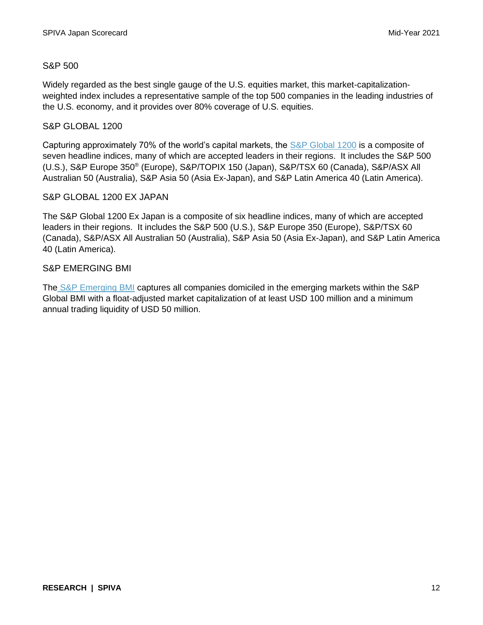# S&P 500

Widely regarded as the best single gauge of the U.S. equities market, this market-capitalizationweighted index includes a representative sample of the top 500 companies in the leading industries of the U.S. economy, and it provides over 80% coverage of U.S. equities.

# S&P GLOBAL 1200

Capturing approximately 70% of the world's capital markets, the [S&P Global 1200](https://www.spglobal.com/spdji/en/indices/equity/sp-global-1200/?utm_source=pdf_spiva) is a composite of seven headline indices, many of which are accepted leaders in their regions. It includes the S&P 500 (U.S.), S&P Europe 350<sup>®</sup> (Europe), S&P/TOPIX 150 (Japan), S&P/TSX 60 (Canada), S&P/ASX All Australian 50 (Australia), S&P Asia 50 (Asia Ex-Japan), and S&P Latin America 40 (Latin America).

# S&P GLOBAL 1200 EX JAPAN

The S&P Global 1200 Ex Japan is a composite of six headline indices, many of which are accepted leaders in their regions. It includes the S&P 500 (U.S.), S&P Europe 350 (Europe), S&P/TSX 60 (Canada), S&P/ASX All Australian 50 (Australia), S&P Asia 50 (Asia Ex-Japan), and S&P Latin America 40 (Latin America).

# S&P EMERGING BMI

The [S&P Emerging BMI](https://www.spglobal.com/spdji/en/indices/equity/sp-emerging-bmi/?utm_source=pdf_spiva) captures all companies domiciled in the emerging markets within the S&P Global BMI with a float-adjusted market capitalization of at least USD 100 million and a minimum annual trading liquidity of USD 50 million.